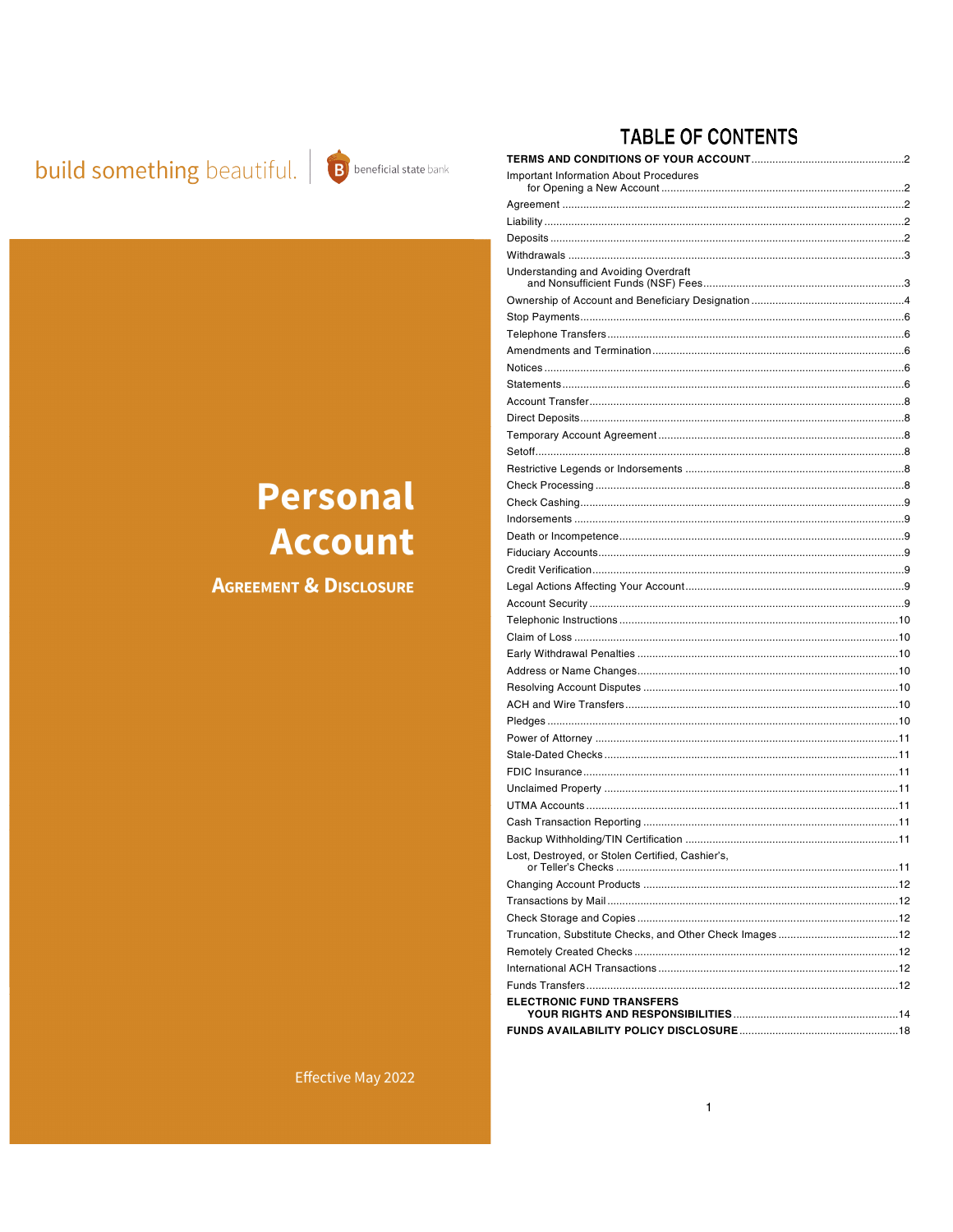## **build something** beautiful. **B** beneficial state bank



## **TABLE OF CONTENTS**

| <b>Important Information About Procedures</b>    |    |
|--------------------------------------------------|----|
|                                                  |    |
|                                                  |    |
|                                                  |    |
|                                                  |    |
| <b>Understanding and Avoiding Overdraft</b>      |    |
|                                                  |    |
|                                                  |    |
|                                                  |    |
|                                                  |    |
|                                                  |    |
|                                                  |    |
|                                                  |    |
|                                                  |    |
|                                                  |    |
|                                                  |    |
|                                                  |    |
|                                                  |    |
|                                                  |    |
|                                                  |    |
|                                                  |    |
|                                                  |    |
|                                                  |    |
|                                                  |    |
|                                                  |    |
|                                                  |    |
|                                                  |    |
|                                                  |    |
|                                                  |    |
|                                                  |    |
|                                                  |    |
|                                                  |    |
|                                                  |    |
|                                                  |    |
|                                                  |    |
|                                                  |    |
|                                                  |    |
|                                                  |    |
|                                                  | 11 |
| Lost, Destroyed, or Stolen Certified, Cashier's, |    |
|                                                  |    |
|                                                  |    |
|                                                  |    |
|                                                  |    |
|                                                  |    |
|                                                  |    |
|                                                  |    |
| <b>ELECTRONIC FUND TRANSFERS</b>                 |    |
|                                                  |    |

# **Personal Account**

**AGREEMENT & DISCLOSURE** 

Effective May 2022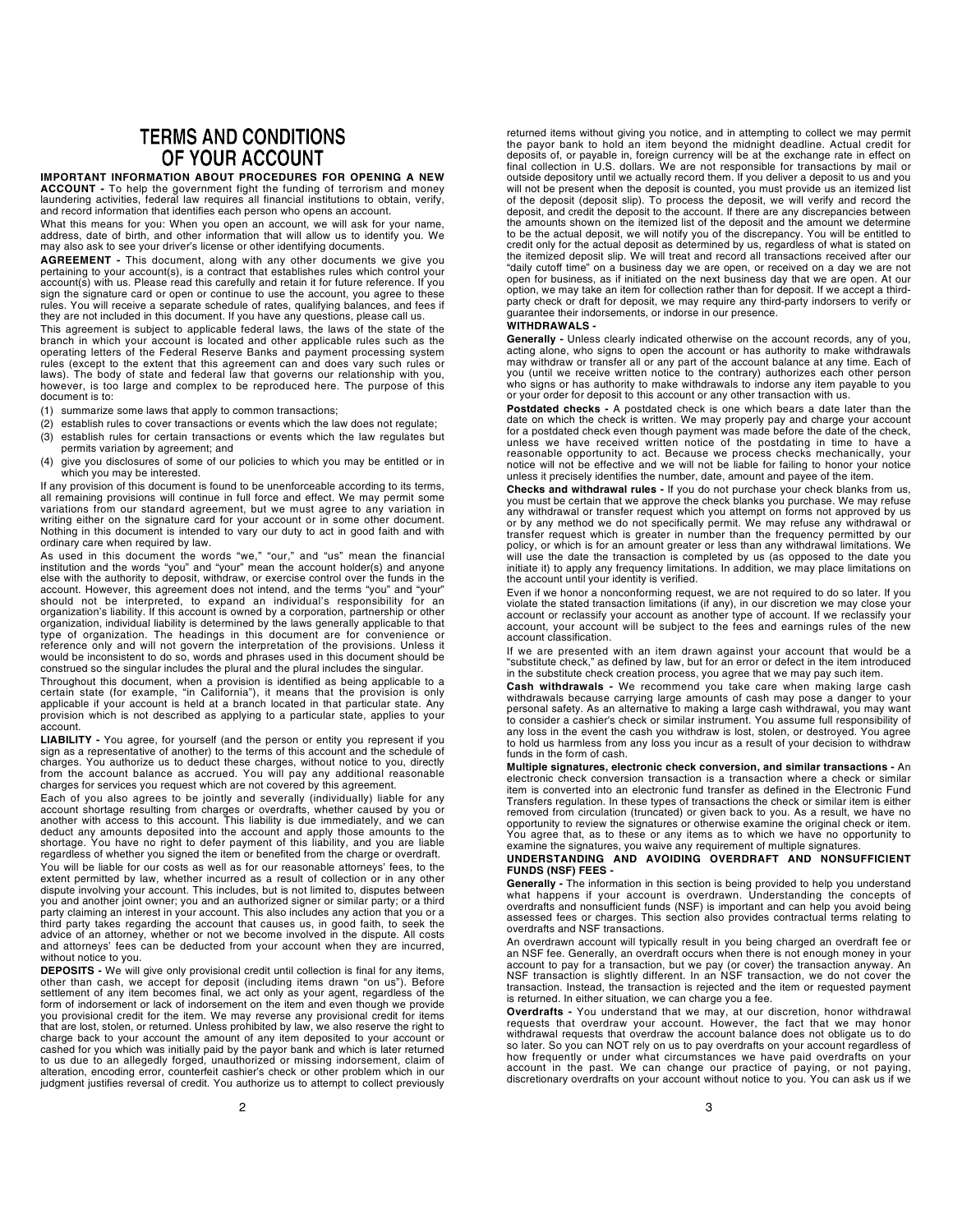## **TERMS AND CONDITIONS** OF YOUR ACCOUNT

IMPORTANT INFORMATION ABOUT PROCEDURES FOR OPENING A NEW ACCOUNT - To help the government fight the funding of terrorism and money laundering activities, federal law requires all financial institutions to obtain, verify, and record information that identifies each person who opens an account.

What this means for you: When you open an account, we will ask for your name, address, date of birth, and other information that will allow us to identify you. We may also ask to see your driver's license or other identifying documents.

AGREEMENT - This document, along with any other documents we give you pertaining to your account(s), is a contract that establishes rules which control your account(s) with us. Please read this carefully and retain it for future reference. If you sign the signature card or open or continue to use the account, you agree to these rules. You will receive a separate schedule of rates, qualifying balances, and fees if they are not included in this document. If you have any questions, please call us.

This agreement is subject to applicable federal laws, the laws of the state of the branch in which your account is located and other applicable rules such as the operating letters of the Federal Reserve Banks and payment processing system rules (except to the extent that this agreement can and does vary such rules or laws). The body of state and federal law that governs our relationship with you, however, is too large and complex to be reproduced here. The purpose of this document is to:

- (1) summarize some laws that apply to common transactions;
- (2) establish rules to cover transactions or events which the law does not regulate;
- (3) establish rules for certain transactions or events which the law regulates but permits variation by agreement; and
- (4) give you disclosures of some of our policies to which you may be entitled or in which you may be interested.

If any provision of this document is found to be unenforceable according to its terms, all remaining provisions will continue in full force and effect. We may permit some variations from our standard agreement, but we must agree to any variation in writing either on the signature card for your account or in some other document. Nothing in this document is intended to vary our duty to act in good faith and with ordinary care when required by law.

As used in this document the words "we," "our," and "us" mean the financial<br>institution and the words "you" and "your" mean the account holder(s) and anyone<br>else with the authority to deposit, withdraw, or exercise control account. However, this agreement does not intend, and the terms "you" and "your" should not be interpreted, to expand an individual's responsibility for an organization's liability. If this account is owned by a corporation, partnership or other organization, individual liability is determined by the laws generally applicable to that type of organization. The headings in this document are for convenience or reference only and will not govern the interpretation of the provisions. Unless it would be inconsistent to do so, words and phrases used in this document should be construed so the singular includes the plural and the plural includes the singular.

Throughout this document, when a provision is identified as being applicable to a certain state (for example, "in California"), it means that the provision is only<br>applicable if your account is held at a branch located in that particular state. Any<br>provision which is not described as applying to a parti account.

LIABILITY - You agree, for yourself (and the person or entity you represent if you sign as a representative of another) to the terms of this account and the schedule of charges. You authorize us to deduct these charges, without notice to you, directly<br>from the account balance as accrued. You will pay any additional reasonable<br>charges for services you request which are not covered by this

Each of you also agrees to be jointly and severally (individually) liable for any account shortage resulting from charges or overdrafts, whether caused by you or another with access to this account. This liability is due immediately, and we can deduct any amounts deposited into the account and apply those amounts to the<br>shortage. You have no right to defer payment of this liability, and you are liable<br>regardless of whether you signed the item or benefited from th

You will be liable for our costs as well as for our reasonable attorneys' fees, to the extent permitted by law, whether incurred as a result of collection or in any other dispute involving your account. This includes, but is not limited to, disputes between you and another joint owner; you and an authorized signer or similar party; or a third party claiming an interest in your account. This also includes any action that you or a third party takes regarding the account that causes us, in good faith, to seek the advice of an attorney, whether or not we become involved in the dispute. All costs and attorneys' fees can be deducted from your account when they are incurred, without notice to you.

DEPOSITS - We will give only provisional credit until collection is final for any items, other than cash, we accept for deposit (including items drawn "on us"). Before settlement of any item becomes final, we act only as your agent, regardless of the<br>form of indorsement or lack of indorsement on the item and even though we provide<br>you provisional credit for the item. We may reverse any p charge back to your account the amount of any item deposited to your account or cashed for you which was initially paid by the payor bank and which is later returned<br>to us due to an allegedly forged, unauthorized or missing indorsement, claim of<br>alteration, encoding error, counterfeit cashier's check judgment justifies reversal of credit. You authorize us to attempt to collect previously

returned items without giving you notice, and in attempting to collect we may permit the payor bank to hold an item beyond the midnight deadline. Actual credit for deposits of, or payable in, foreign currency will be at the exchange rate in effect on final collection in U.S. dollars. We are not responsible for transactions by mail or outside depository until we actually record them. If you deliver a deposit to us and you will not be present when the deposit is counted, you must provide us an itemized list of the deposit (deposit slip). To process the deposit, we will verify and record the deposit, and credit the deposit to the account. If there are any discrepancies between the amounts shown on the itemized list of the deposit and the amount we determine to be the actual deposit, we will notify you of the discrepancy. You will be entitled to credit only for the actual deposit as determined by us, regardless of what is stated on the itemized deposit slip. We will treat and record all transactions received after our "daily cutoff time" on a business day we are open, or received on a day we are not open for business, as if initiated on the next business day that we are open. At our option, we may take an item for collection rather than for deposit. If we accept a third-party check or draft for deposit, we may require any third-party indorsers to verify or guarantee their indorsements, or indorse in our presence.

#### WITHDRAWALS -

Generally - Unless clearly indicated otherwise on the account records, any of you, acting alone, who signs to open the account or has authority to make withdrawals may withdraw or transfer all or any part of the account balance at any time. Each of you (until we receive written notice to the contrary) authorizes each other person who signs or has authority to make withdrawals to indorse any item payable to you or your order for deposit to this account or any other transaction with us.

**Postdated checks -** A postdated check is one which bears a date later than the<br>date on which the check is written. We may properly pay and charge your account<br>for a postdated check even though payment was made before the unless we have received written notice of the postdating in time to have a reasonable opportunity to act. Because we process checks mechanically, your notice will not be effective and we will not be liable for failing to honor your notice unless it precisely identifies the number, date, amount and payee of the item.

**Checks and withdrawal rules -** If you do not purchase your check blanks from us,<br>you must be certain that we approve the check blanks you purchase. We may refuse any withdrawal or transfer request which you attempt on forms not approved by us or by any method we do not specifically permit. We may refuse any withdrawal or transfer request which is greater in number than the frequency permitted by our policy, or which is for an amount greater or less than any withdrawal limitations. We will use the date the transaction is completed by us (as opposed to the date you initiate it) to apply any frequency limitations. In addition, we may place limitations on the account until your identity is verified.

Even if we honor a nonconforming request, we are not required to do so later. If you violate the stated transaction limitations (if any), in our discretion we may close your account or reclassify your account as another type of account. If we reclassify your account, your account will be subject to the fees and earnings rules of the new account classification.

If we are presented with an item drawn against your account that would be a "substitute check," as defined by law, but for an error or defect in the item introduced in the substitute check creation process, you agree that we may pay such item.

Cash withdrawals - We recommend you take care when making large cash withdrawals because carrying large amounts of cash may pose a danger to your personal safety. As an alternative to making a large cash withdrawal, you may want to consider a cashier's check or similar instrument. You assume full responsibility of any loss in the event the cash you withdraw is lost, stolen, or destroyed. You agree to hold us harmless from any loss you incur as a result of your decision to withdraw funds in the form of cash.

Multiple signatures, electronic check conversion, and similar transactions - An electronic check conversion transaction is a transaction where a check or similar item is converted into an electronic fund transfer as defined in the Electronic Fund Transfers regulation. In these types of transactions the check or similar item is either removed from circulation (truncated) or given back to you. As a result, we have no opportunity to review the signatures or otherwise examine the original check or item. You agree that, as to these or any items as to which we have no opportunity to examine the signatures, you waive any requirement of multiple signatures.

#### UNDERSTANDING AND AVOIDING OVERDRAFT AND NONSUFFICIENT FUNDS (NSF) FEES -

**Generally -** The information in this section is being provided to help you understand<br>what happens if your account is overdrawn. Understanding the concepts of<br>overdrafts and nonsufficient funds (NSF) is importan assessed fees or charges. This section also provides contractual terms relating to overdrafts and NSF transactions.

An overdrawn account will typically result in you being charged an overdraft fee or an NSF fee. Generally, an overdraft occurs when there is not enough money in your account to pay for a transaction, but we pay (or cover) the transaction anyway. An<br>NSF transaction is slightly different. In an NSF transaction, we do not cover the<br>transaction. Instead, the transaction is rejected and the is returned. In either situation, we can charge you a fee.

Overdrafts - You understand that we may, at our discretion, honor withdrawal requests that overdraw your account. However, the fact that we may honor withdrawal requests that overdraw the account balance does not obligate us to do so later. So you can NOT rely on us to pay overdrafts on your account regardless of how frequently or under what circumstances we have paid overdrafts on your account in the past. We can change our practice of paying, or not paying, discretionary overdrafts on your account without notice to you. You can ask us if we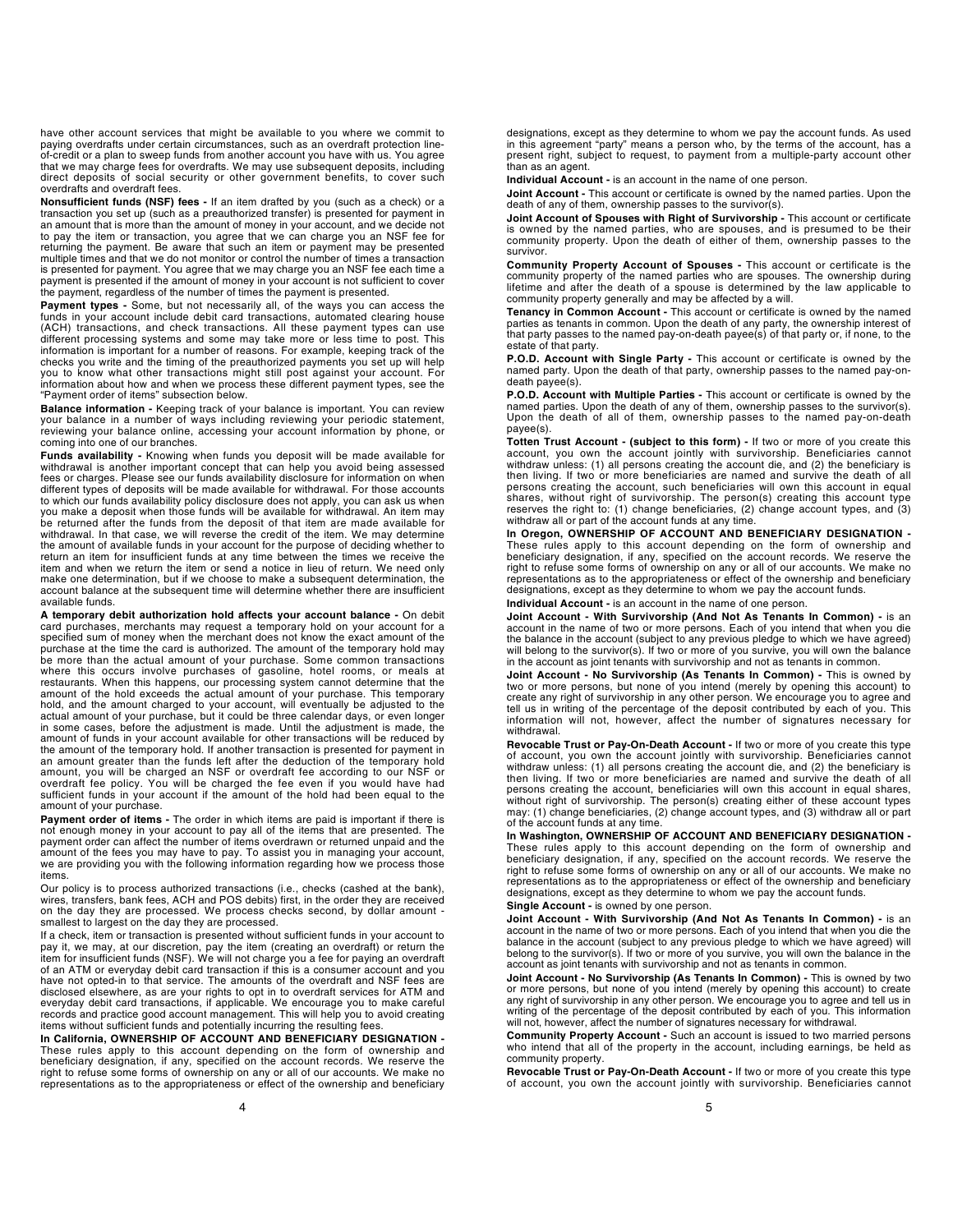have other account services that might be available to you where we commit to paying overdrafts under certain circumstances, such as an overdraft protection lineof-credit or a plan to sweep funds from another account you have with us. You agree that we may charge fees for overdrafts. We may use subsequent deposits, including direct deposits of social security or other government benefits, to cover such overdrafts and overdraft fees.

Nonsufficient funds (NSF) fees - If an item drafted by you (such as a check) or a transaction you set up (such as a preauthorized transfer) is presented for payment in an amount that is more than the amount of money in your account, and we decide not to pay the item or transaction, you agree that we can charge you an NSF fee for returning the payment. Be aware that such an item or payment may be presented multiple times and that we do not monitor or control the number of times a transaction is presented for payment. You agree that we may charge you an NSF fee each time a payment is presented if the amount of money in your account is not sufficient to cover the payment, regardless of the number of times the payment is presented.

Payment types - Some, but not necessarily all, of the ways you can access the funds in your account include debit card transactions, automated clearing house (ACH) transactions, and check transactions. All these payment types can use different processing systems and some may take more or less time to post. This information is important for a number of reasons. For example, keeping track of the checks you write and the timing of the preauthorized payments you set up will help you to know what other transactions might still post against your account. For information about how and when we process these different payment types, see the "Payment order of items" subsection below.

**Balance information -** Keeping track of your balance is important. You can review<br>your balance in a number of ways including reviewing your periodic statement,<br>reviewing your balance online, accessing your account informa coming into one of our branches.

Funds availability - Knowing when funds you deposit will be made available for withdrawal is another important concept that can help you avoid being assessed fees or charges. Please see our funds availability disclosure for information on when different types of deposits will be made available for withdrawal. For those accounts to which our funds availability policy disclosure does not apply, you can ask us when you make a deposit when those funds will be available for withdrawal. An item may be returned after the funds from the deposit of that item are made available for withdrawal. In that case, we will reverse the credit of the item. We may determine the amount of available funds in your account for the purpose of deciding whether to return an item for insufficient funds at any time between the times we receive the item and when we return the item or send a notice in lieu of return. We need only make one determination, but if we choose to make a subsequent determination, the account balance at the subsequent time will determine whether there are insufficient available funds.

A temporary debit authorization hold affects your account balance - On debit card purchases, merchants may request a temporary hold on your account for a specified sum of money when the merchant does not know the exact amount of the purchase at the time the card is authorized. The amount of the temporary hold may be more than the actual amount of your purchase. Some common transactions where this occurs involve purchases of gasoline, hotel rooms, or meals at restaurants. When this happens, our processing system cannot determine that the amount of the hold exceeds the actual amount of your purchase. This temporary<br>hold, and the amount charged to your account, will eventually be adjusted to the<br>actual amount of your purchase, but it could be three calendar amount of funds in your account available for other transactions will be reduced by the amount of the temporary hold. If another transaction is presented for payment in an amount greater than the funds left after the deduction of the temporary hold amount, you will be charged an NSF or overdraft fee according to our NSF or overdraft fee policy. You will be charged the fee even if you would have had sufficient funds in your account if the amount of the hold had been equal to the amount of your purchase.

Payment order of items - The order in which items are paid is important if there is not enough money in your account to pay all of the items that are presented. The payment order can affect the number of items overdrawn or returned unpaid and the amount of the fees you may have to pay. To assist you in managing your account, we are providing you with the following information regarding how we process those items.

Our policy is to process authorized transactions (i.e., checks (cashed at the bank), wires, transfers, bank fees, ACH and POS debits) first, in the order they are received on the day they are processed. We process checks second, by dollar amount smallest to largest on the day they are processed.

If a check, item or transaction is presented without sufficient funds in your account to pay it, we may, at our discretion, pay the item (creating an overdraft) or return the<br>item for insufficient funds (NSF). We will not charge you a fee for paying an overdraft<br>of an ATM or everyday debit card transaction if have not opted-in to that service. The amounts of the overdraft and NSF fees are disclosed elsewhere, as are your rights to opt in to overdraft services for ATM and everyday debit card transactions, if applicable. We encourage you to make careful records and practice good account management. This will help you to avoid creating items without sufficient funds and potentially incurring the resulting fees.

In California, OWNERSHIP OF ACCOUNT AND BENEFICIARY DESIGNATION - These rules apply to this account depending on the form of ownership and beneficiary designation, if any, specified on the account records. We reserve the right to refuse some forms of ownership on any or all of our accounts. We make no representations as to the appropriateness or effect of the ownership and beneficiary designations, except as they determine to whom we pay the account funds. As used in this agreement "party" means a person who, by the terms of the account, has a present right, subject to request, to payment from a multiple-party account other than as an agent.

Individual Account - is an account in the name of one person.

Joint Account - This account or certificate is owned by the named parties. Upon the death of any of them, ownership passes to the survivor(s).

Joint Account of Spouses with Right of Survivorship - This account or certificate is owned by the named parties, who are spouses, and is presumed to be their community property. Upon the death of either of them, ownership passes to the survivor.

Community Property Account of Spouses - This account or certificate is the community property of the named parties who are spouses. The ownership during lifetime and after the death of a spouse is determined by the law applicable to community property generally and may be affected by a will.

Tenancy in Common Account - This account or certificate is owned by the named parties as tenants in common. Upon the death of any party, the ownership interest of that party passes to the named pay-on-death payee(s) of that party or, if none, to the estate of that party.

P.O.D. Account with Single Party - This account or certificate is owned by the named party. Upon the death of that party, ownership passes to the named pay-ondeath payee(s).

P.O.D. Account with Multiple Parties - This account or certificate is owned by the named parties. Upon the death of any of them, ownership passes to the survivor(s). Upon the death of all of them, ownership passes to the named pay-on-death payee(s).

Totten Trust Account - (subject to this form) - If two or more of you create this account, you own the account jointly with survivorship. Beneficiaries cannot withdraw unless: (1) all persons creating the account die, and (2) the beneficiary is then living. If two or more beneficiaries are named and survive the death of all persons creating the account, such beneficiaries will own this account in equal shares, without right of survivorship. The person(s) creating this account type reserves the right to: (1) change beneficiaries, (2) change account types, and (3) withdraw all or part of the account funds at any time.

In Oregon, OWNERSHIP OF ACCOUNT AND BENEFICIARY DESIGNATION -These rules apply to this account depending on the form of ownership and beneficiary designation, if any, specified on the account records. We reserve the right to refuse some forms of ownership on any or all of our accounts. We make no representations as to the appropriateness or effect of the ownership and beneficiary designations, except as they determine to whom we pay the account funds. Individual Account - is an account in the name of one person.

Joint Account - With Survivorship (And Not As Tenants In Common) - is an account in the name of two or more persons. Each of you intend that when you die the balance in the account (subject to any previous pledge to which we have agreed) will belong to the survivor(s). If two or more of you survive, you will own the balance in the account as joint tenants with survivorship and not as tenants in common.

Joint Account - No Survivorship (As Tenants In Common) - This is owned by two or more persons, but none of you intend (merely by opening this account) to create any right of survivorship in any other person. We encourage you to agree and tell us in writing of the percentage of the deposit contributed by each of you. This information will not, however, affect the number of signatures necessary for withdrawal.

Revocable Trust or Pay-On-Death Account - If two or more of you create this type of account, you own the account jointly with survivorship. Beneficiaries cannot withdraw unless: (1) all persons creating the account die, and (2) the beneficiary is then living. If two or more beneficiaries are named and survive the death of all persons creating the account, beneficiaries will own this account in equal shares, without right of survivorship. The person(s) creating either of these account types may: (1) change beneficiaries, (2) change account types, and (3) withdraw all or part of the account funds at any time.

In Washington, OWNERSHIP OF ACCOUNT AND BENEFICIARY DESIGNATION - These rules apply to this account depending on the form of ownership and beneficiary designation, if any, specified on the account records. We reserve the right to refuse some forms of ownership on any or all of our accounts. We make no representations as to the appropriateness or effect of the ownership and beneficiary designations, except as they determine to whom we pay the account funds.

Single Account - is owned by one person.

Joint Account - With Survivorship (And Not As Tenants In Common) - is an account in the name of two or more persons. Each of you intend that when you die the balance in the account (subject to any previous pledge to which we have agreed) will belong to the survivor(s). If two or more of you survive, you will own the balance in the account as joint tenants with survivorship and not as tenants in common.

Joint Account - No Survivorship (As Tenants In Common) - This is owned by two or more persons, but none of you intend (merely by opening this account) to create any right of survivorship in any other person. We encourage you to agree and tell us in writing of the percentage of the deposit contributed by each of you. This information will not, however, affect the number of signatures necessary for withdrawal.

Community Property Account - Such an account is issued to two married persons who intend that all of the property in the account, including earnings, be held as community property.

Revocable Trust or Pay-On-Death Account - If two or more of you create this type of account, you own the account jointly with survivorship. Beneficiaries cannot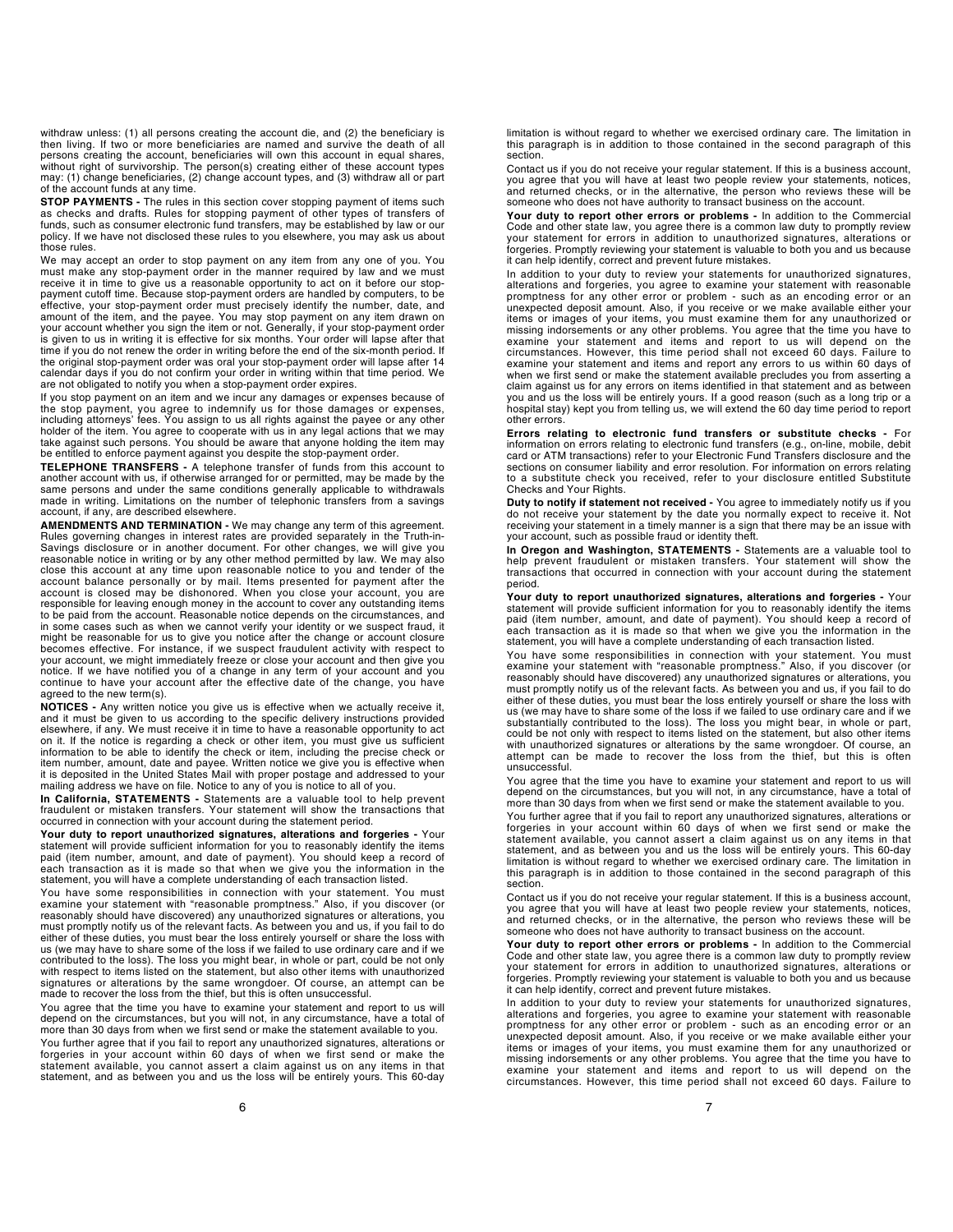withdraw unless: (1) all persons creating the account die, and (2) the beneficiary is then living. If two or more beneficiaries are named and survive the death of all persons creating the account, beneficiaries will own this account in equal shares, without right of survivorship. The person(s) creating either of these account types may: (1) change beneficiaries, (2) change account types, and (3) withdraw all or part of the account funds at any time.

STOP PAYMENTS - The rules in this section cover stopping payment of items such as checks and drafts. Rules for stopping payment of other types of transfers of funds, such as consumer electronic fund transfers, may be established by law or our policy. If we have not disclosed these rules to you elsewhere, you may ask us about those rules.

We may accept an order to stop payment on any item from any one of you. You must make any stop-payment order in the manner required by law and we must receive it in time to give us a reasonable opportunity to act on it before our stoppayment cutoff time. Because stop-payment orders are handled by computers, to be effective, your stop-payment order must precisely identify the number, date, and<br>amount of the item, and the payee. You may stop payment on any item drawn on<br>your account whether you sign the item or not. Generally, if you is given to us in writing it is effective for six months. Your order will lapse after that time if you do not renew the order in writing before the end of the six-month period. If the original stop-payment order was oral your stop-payment order will lapse after 14 calendar days if you do not confirm your order in writing within that time period. We are not obligated to notify you when a stop-payment order expires.

If you stop payment on an item and we incur any damages or expenses because of the stop payment, you agree to indemnify us for those damages or expenses, including attorneys' fees. You assign to us all rights against the payee or any other holder of the item. You agree to cooperate with us in any legal actions that we may take against such persons. You should be aware that anyone holding the item may be entitled to enforce payment against you despite the stop-payment order.

TELEPHONE TRANSFERS - A telephone transfer of funds from this account to another account with us, if otherwise arranged for or permitted, may be made by the<br>same persons and under the same conditions generally applicable to withdrawals<br>made in writing. Limitations on the number of telephonic tr account, if any, are described elsewhere.

AMENDMENTS AND TERMINATION - We may change any term of this agreement. Rules governing changes in interest rates are provided separately in the Truth-in-Savings disclosure or in another document. For other changes, we will give you reasonable notice in writing or by any other method permitted by law. We may also close this account at any time upon reasonable notice to you and tender of the account balance personally or by mail. Items presented for payment after the<br>account is closed may be dishonored. When you close your account, you are<br>responsible for leaving enough money in the account to cover any outsta in some cases such as when we cannot verify your identity or we suspect fraud, it<br>might be reasonable for us to give you notice after the change or account closure<br>becomes effective. For instance, if we suspect fraudulent your account, we might immediately freeze or close your account and then give you notice. If we have notified you of a change in any term of your account and you continue to have your account after the effective date of the change, you have agreed to the new term(s).

NOTICES - Any written notice you give us is effective when we actually receive it, and it must be given to us according to the specific delivery instructions provided elsewhere, if any. We must receive it in time to have a reasonable opportunity to act on it. If the notice is regarding a check or other item, you must give us sufficient information to be able to identify the check or item, including the precise check or item number, amount, date and payee. Written notice we give you is effective when it is deposited in the United States Mail with proper postage and addressed to your mailing address we have on file. Notice to any of you is notice to all of you.

In California, STATEMENTS - Statements are a valuable tool to help prevent fraudulent or mistaken transfers. Your statement will show the transactions that occurred in connection with your account during the statement period.

Your duty to report unauthorized signatures, alterations and forgeries - Your statement will provide sufficient information for you to reasonably identify the items paid (item number, amount, and date of payment). You should keep a record of each transaction as it is made so that when we give you the information in the statement, you will have a complete understanding of each transaction listed.

You have some responsibilities in connection with your statement. You must examine your statement with "reasonable promptness." Also, if you discover (or reasonably should have discovered) any unauthorized signatures or alterations, you must promptly notify us of the relevant facts. As between you and us, if you fail to do<br>either of these duties, you must bear the loss entirely yourself or share the loss with<br>us (we may have to share some of the loss if w contributed to the loss). The loss you might bear, in whole or part, could be not only with respect to items listed on the statement, but also other items with unauthorized signatures or alterations by the same wrongdoer. Of course, an attempt can be made to recover the loss from the thief, but this is often unsuccessful.

You agree that the time you have to examine your statement and report to us will depend on the circumstances, but you will not, in any circumstance, have a total of more than 30 days from when we first send or make the statement available to you.

You further agree that if you fail to report any unauthorized signatures, alterations or forgeries in your account within 60 days of when we first send or make the statement available, you cannot assert a claim against us on any items in that statement, and as between you and us the loss will be entirely yours. This 60-day

limitation is without regard to whether we exercised ordinary care. The limitation in this paragraph is in addition to those contained in the second paragraph of this section.

Contact us if you do not receive your regular statement. If this is a business account, you agree that you will have at least two people review your statements, notices, and returned checks, or in the alternative, the person who reviews these will be someone who does not have authority to transact business on the account.

Your duty to report other errors or problems - In addition to the Commercial Code and other state law, you agree there is a common law duty to promptly review your statement for errors in addition to unauthorized signatures, alterations or forgeries. Promptly reviewing your statement is valuable to both you and us because it can help identify, correct and prevent future mistakes.

In addition to your duty to review your statements for unauthorized signatures, alterations and forgeries, you agree to examine your statement with reasonable promptness for any other error or problem - such as an encoding error or an unexpected deposit amount. Also, if you receive or we make available either your items or images of your items, you must examine them for any unauthorized or<br>missing indorsements or any other problems. You agree that the time you have to<br>examine your statement and items and report to us will circumstances. However, this time period shall not exceed 60 days. Failure to examine your statement and items and report any errors to us within 60 days of when we first send or make the statement available precludes you from asserting a claim against us for any errors on items identified in that statement and as between you and us the loss will be entirely yours. If a good reason (such as a long trip or a hospital stay) kept you from telling us, we will extend the 60 day time period to report other errors.

**Errors relating to electronic fund transfers or substitute checks -** For<br>information on errors relating to electronic fund transfers (e.g., on-line, mobile, debit<br>card or ATM transactions) refer to your Electronic Fund Tr sections on consumer liability and error resolution. For information on errors relating to a substitute check you received, refer to your disclosure entitled Substitute Checks and Your Rights.

Duty to notify if statement not received - You agree to immediately notify us if you do not receive your statement by the date you normally expect to receive it. Not receiving your statement in a timely manner is a sign that there may be an issue with your account, such as possible fraud or identity theft.

In Oregon and Washington, STATEMENTS - Statements are a valuable tool to help prevent fraudulent or mistaken transfers. Your statement will show the transactions that occurred in connection with your account during the statement period.

Your duty to report unauthorized signatures, alterations and forgeries - Your statement will provide sufficient information for you to reasonably identify the items paid (item number, amount, and date of payment). You should keep a record of each transaction as it is made so that when we give you the information in the statement, you will have a complete understanding of each transaction listed.

You have some responsibilities in connection with your statement. You must examine your statement with "reasonable promptness." Also, if you discover (or reasonably should have discovered) any unauthorized signatures or alterations, you must promptly notify us of the relevant facts. As between you and us, if you fail to do either of these duties, you must bear the loss entirely yourself or share the loss with us (we may have to share some of the loss if we failed to use ordinary care and if we substantially contributed to the loss). The loss you might bear, in whole or part, could be not only with respect to items listed on the statement, but also other items with unauthorized signatures or alterations by the same wrongdoer. Of course, an attempt can be made to recover the loss from the thief, but this is often unsuccessful.

You agree that the time you have to examine your statement and report to us will depend on the circumstances, but you will not, in any circumstance, have a total of more than 30 days from when we first send or make the statement available to you.

You further agree that if you fail to report any unauthorized signatures, alterations or forgeries in your account within 60 days of when we first send or make the statement available, you cannot assert a claim against us on any items in that statement, and as between you and us the loss will be entirely yours. This 60-day limitation is without regard to whether we exercised ordinary care. The limitation in this paragraph is in addition to those contained in the second paragraph of this section.

Contact us if you do not receive your regular statement. If this is a business account, you agree that you will have at least two people review your statements, notices, and returned checks, or in the alternative, the person who reviews these will be someone who does not have authority to transact business on the account.

Your duty to report other errors or problems - In addition to the Commercial Code and other state law, you agree there is a common law duty to promptly review your statement for errors in addition to unauthorized signatures, alterations or forgeries. Promptly reviewing your statement is valuable to both you and us because it can help identify, correct and prevent future mistakes.

In addition to your duty to review your statements for unauthorized signatures, alterations and forgeries, you agree to examine your statement with reasonable promptness for any other error or problem - such as an encoding error or an unexpected deposit amount. Also, if you receive or we make available either your items or images of your items, you must examine them for any unauthorized or missing indorsements or any other problems. You agree that the time you have to<br>examine your statement and items and report to us will depend on the<br>circumstances. However, this time period shall not exceed 60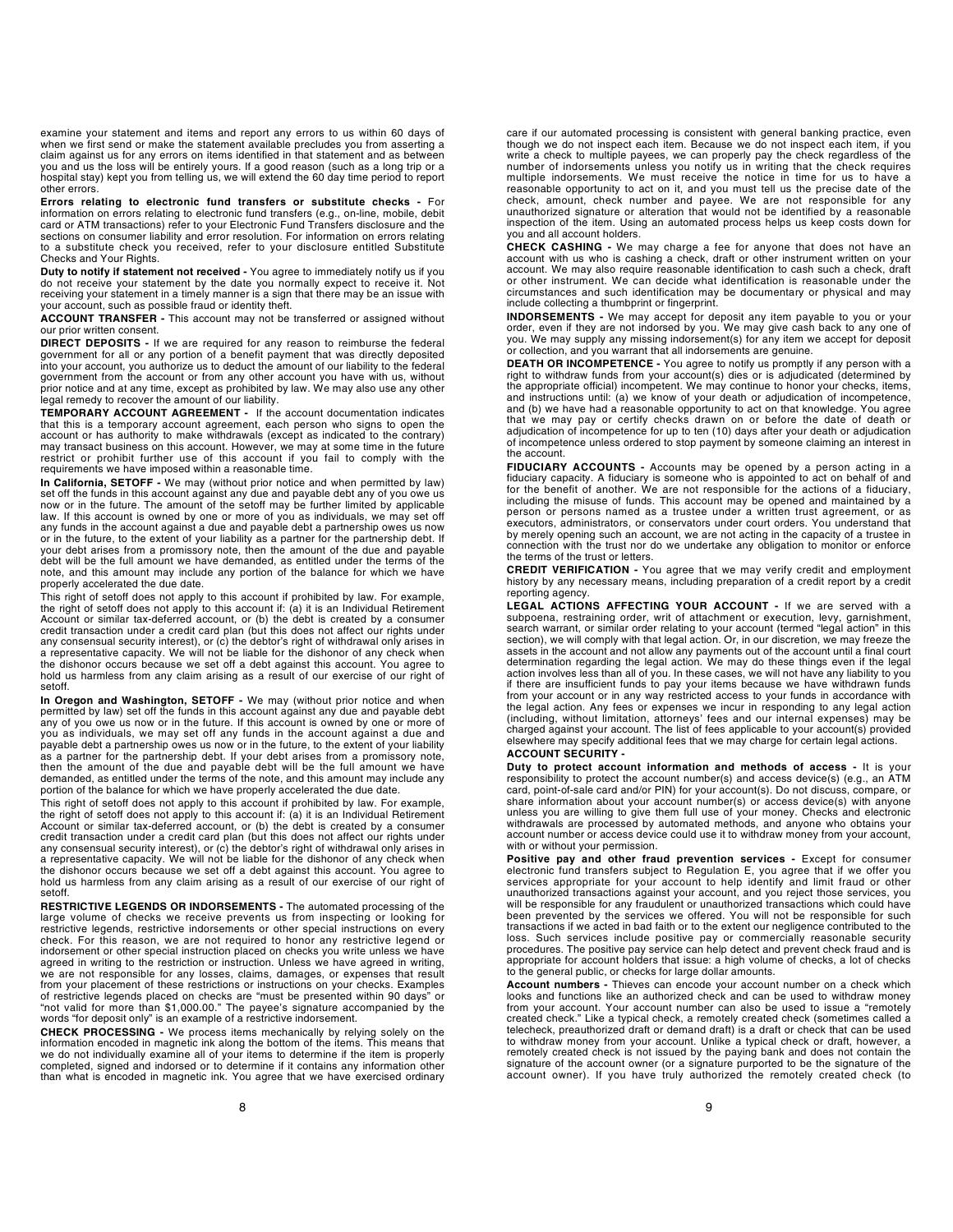examine your statement and items and report any errors to us within 60 days of when we first send or make the statement available precludes you from asserting a claim against us for any errors on items identified in that statement and as between you and us the loss will be entirely yours. If a good reason (such as a long trip or a hospital stay) kept you from telling us, we will extend the 60 day time period to report other errors.

Errors relating to electronic fund transfers or substitute checks - For information on errors relating to electronic fund transfers (e.g., on-line, mobile, debit card or ATM transactions) refer to your Electronic Fund Transfers disclosure and the sections on consumer liability and error resolution. For information on errors relating to a substitute check you received, refer to your disclosure entitled Substitute Checks and Your Rights.

Duty to notify if statement not received - You agree to immediately notify us if you do not receive your statement by the date you normally expect to receive it. Not receiving your statement in a timely manner is a sign that there may be an issue with your account, such as possible fraud or identity theft.

ACCOUNT TRANSFER - This account may not be transferred or assigned without our prior written consent.

**DIRECT DEPOSITS** - If we are required for any reason to reimburse the federal government for all or any portion of a benefit payment that was directly deposited<br>into your account, you authorize us to deduct the amount of government from the account or from any other account you have with us, without prior notice and at any time, except as prohibited by law. We may also use any other legal remedy to recover the amount of our liability.

TEMPORARY ACCOUNT AGREEMENT - If the account documentation indicates that this is a temporary account agreement, each person who signs to open the account or has authority to make withdrawals (except as indicated to the contrary) may transact business on this account. However, we may at some time in the future restrict or prohibit further use of this account if you fail to comply with the requirements we have imposed within a reasonable time.

In California, SETOFF - We may (without prior notice and when permitted by law)<br>set off the funds in this account against any due and payable debt any of you owe us now or in the future. The amount of the setoff may be further limited by applicable law. If this account is owned by one or more of you as individuals, we may set off<br>any funds in the account against a due and payable debt a partnership owes us now<br>or in the future, to the extent of your liability as a pa your debt arises from a promissory note, then the amount of the due and payable debt will be the full amount we have demanded, as entitled under the terms of the note, and this amount may include any portion of the balance for which we have properly accelerated the due date.

This right of setoff does not apply to this account if prohibited by law. For example, the right of setoff does not apply to this account if: (a) it is an Individual Retirement Account or similar tax-deferred account, or (b) the debt is created by a consumer credit transaction under a credit card plan (but this does not affect our rights under any consensual security interest), or (c) the debtor's right of withdrawal only arises in a representative capacity. We will not be liable for the dishonor of any check when the dishonor occurs because we set off a debt against this account. You agree to hold us harmless from any claim arising as a result of our exercise of our right of setoff.

In Oregon and Washington, SETOFF - We may (without prior notice and when<br>permitted by law) set off the funds in this account against any due and payable debt any of you owe us now or in the future. If this account is owned by one or more of you as individuals, we may set off any funds in the account against a due and payable debt a partnership owes us now or in the future, to the extent of your liability as a partner for the partnership debt. If your debt arises from a promissory note, then the amount of the due and payable debt will be the full amount we have demanded, as entitled under the terms of the note, and this amount may include any portion of the balance for which we have properly accelerated the due date.

This right of setoff does not apply to this account if prohibited by law. For example,<br>the right of setoff does not apply to this account if: (a) it is an Individual Retirement<br>Account or similar tax-deferred account, or ( credit transaction under a credit card plan (but this does not affect our rights under any consensual security interest), or (c) the debtor's right of withdrawal only arises in<br>a representative capacity. We will not be liable for the dishonor of any check when<br>the dishonor occurs because we set off a debt ag hold us harmless from any claim arising as a result of our exercise of our right of setoff.

RESTRICTIVE LEGENDS OR INDORSEMENTS - The automated processing of the large volume of checks we receive prevents us from inspecting or looking for restrictive legends, restrictive indorsements or other special instructions on every check. For this reason, we are not required to honor any restrictive legend or indorsement or other special instruction placed on checks you write unless we have agreed in writing to the restriction or instruction. Unless we have agreed in writing, we are not responsible for any losses, claims, damages, or expenses that result from your placement of these restrictions or instructions on your checks. Examples of restrictive legends placed on checks are "must be presented within 90 days" or<br>"not valid for more than \$1,000.00." The payee's signature accompanied by the<br>words "for deposit only" is an example of a restrictive indors

CHECK PROCESSING - We process items mechanically by relying solely on the information encoded in magnetic ink along the bottom of the items. This means that we do not individually examine all of your items to determine if the item is properly completed, signed and indorsed or to determine if it contains any information other than what is encoded in magnetic ink. You agree that we have exercised ordinary

care if our automated processing is consistent with general banking practice, even though we do not inspect each item. Because we do not inspect each item, if you write a check to multiple payees, we can properly pay the check regardless of the number of indorsements unless you notify us in writing that the check requires<br>multiple indorsements. We must receive the notice in time for us to have a<br>reasonable opportunity to act on it, and you must tell us the precis check, amount, check number and payee. We are not responsible for any unauthorized signature or alteration that would not be identified by a reasonable inspection of the item. Using an automated process helps us keep costs down for you and all account holders.

CHECK CASHING - We may charge a fee for anyone that does not have an account with us who is cashing a check, draft or other instrument written on your<br>account. We may also require reasonable identification to cash such a check, draft<br>or other instrument. We can decide what identification is circumstances and such identification may be documentary or physical and may include collecting a thumbprint or fingerprint.

**INDORSEMENTS** - We may accept for deposit any item payable to you or your<br>order, even if they are not indorsed by you. We may give cash back to any one of<br>you. We may supply any missing indorsement(s) for any item we acce or collection, and you warrant that all indorsements are genuine.

DEATH OR INCOMPETENCE - You agree to notify us promptly if any person with a right to withdraw funds from your account(s) dies or is adjudicated (determined by the appropriate official) incompetent. We may continue to honor your checks, items, and instructions until: (a) we know of your death or adjudication of incompetence, and (b) we have had a reasonable opportunity to act on that knowledge. You agree<br>that we may pay or certify checks drawn on or before the date of death or<br>adjudication of incompetence for up to ten (10) days after your dea of incompetence unless ordered to stop payment by someone claiming an interest in the account.

FIDUCIARY ACCOUNTS - Accounts may be opened by a person acting in a fiduciary capacity. A fiduciary is someone who is appointed to act on behalf of and for the benefit of another. We are not responsible for the actions of including the misuse of funds. This account may be opened and maintained by a person or persons named as a trustee under a written trust agreement, or as executors, administrators, or conservators under court orders. You understand that by merely opening such an account, we are not acting in the capacity of a trustee in connection with the trust nor do we undertake any obligation to monitor or enforce the terms of the trust or letters.

CREDIT VERIFICATION - You agree that we may verify credit and employment history by any necessary means, including preparation of a credit report by a credit reporting agency.

**LEGAL ACTIONS AFFECTING YOUR ACCOUNT** - If we are served with a subpoena, restraining order, writ of attachment or execution, levy, garnishment, search warrant, or similar order relating to your account (termed "legal act section), we will comply with that legal action. Or, in our discretion, we may freeze the assets in the account and not allow any payments out of the account until a final court<br>determination regarding the legal action. We may do these things even if the legal<br>action involves less than all of you. In these case if there are insufficient funds to pay your items because we have withdrawn funds from your account or in any way restricted access to your funds in accordance with<br>the legal action. Any fees or expenses we incur in responding to any legal action<br>(including, without limitation, attorneys' fees and our i elsewhere may specify additional fees that we may charge for certain legal actions. ACCOUNT SECURITY -

Duty to protect account information and methods of access - It is your responsibility to protect the account number(s) and access device(s) (e.g., an ATM<br>card, point-of-sale card and/or PIN) for your account(s). Do not discuss, compare, or<br>share information about your account number(s) or acc unless you are willing to give them full use of your money. Checks and electronic withdrawals are processed by automated methods, and anyone who obtains your account number or access device could use it to withdraw money from your account, with or without your permission.

**Positive pay and other fraud prevention services** - Except for consumer<br>electronic fund transfers subject to Regulation E, you agree that if we offer you<br>services appropriate for your account to help identify and limit fr unauthorized transactions against your account, and you reject those services, you will be responsible for any fraudulent or unauthorized transactions which could have been prevented by the services we offered. You will not be responsible for such transactions if we acted in bad faith or to the extent our negligence contributed to the<br>loss. Such services include positive pay or commercially reasonable security<br>procedures. The positive pay service can help d appropriate for account holders that issue: a high volume of checks, a lot of checks to the general public, or checks for large dollar amounts.

**Account numbers -** Thieves can encode your account number on a check which<br>looks and functions like an authorized check and can be used to withdraw money<br>from your account. Your account number can also be used to issue a telecheck, preauthorized draft or demand draft) is a draft or check that can be used to withdraw money from your account. Unlike a typical check or draft, however, a<br>remotely created check is not issued by the paying bank and does not contain the<br>signature of the account owner (or a signature purported to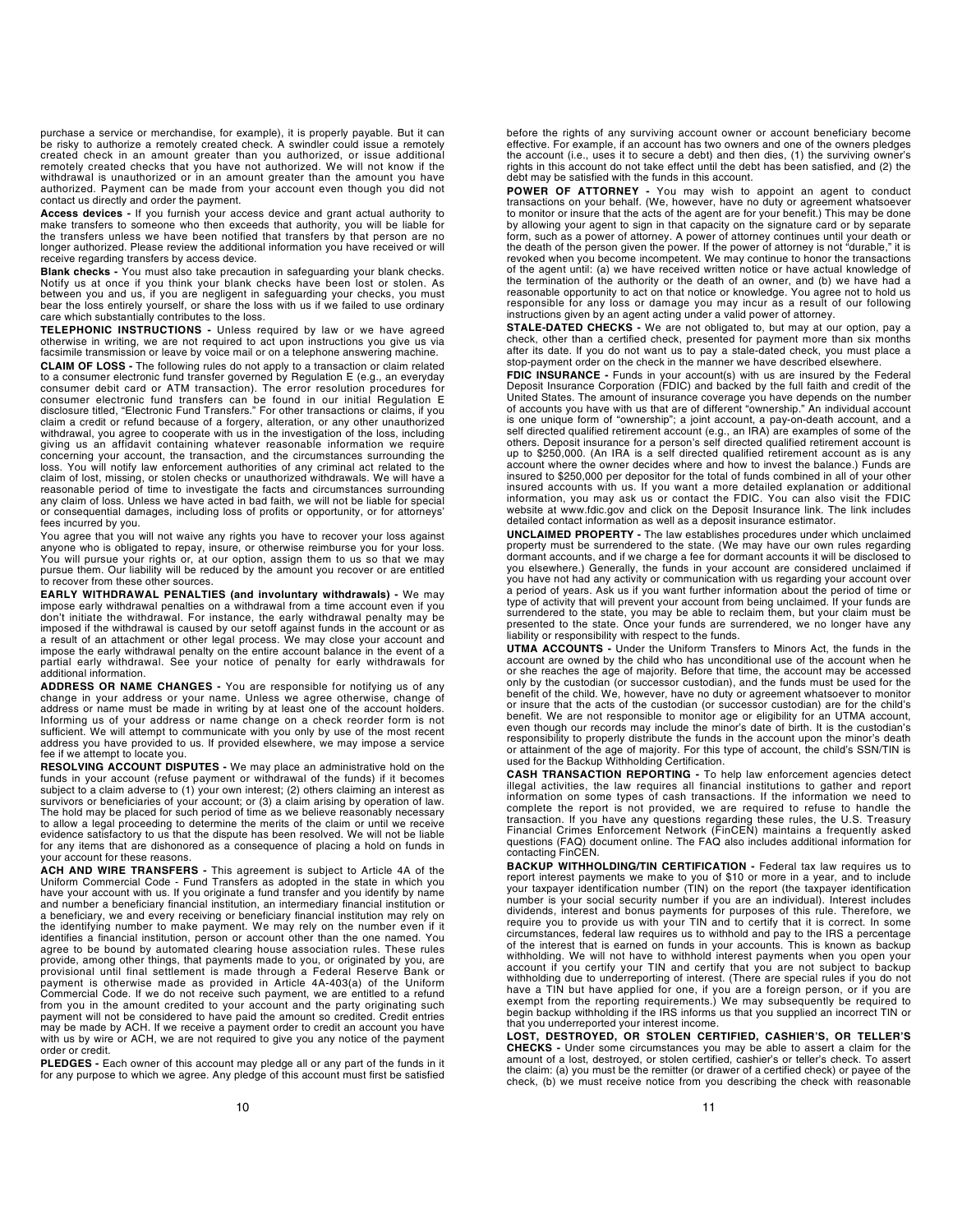purchase a service or merchandise, for example), it is properly payable. But it can be risky to authorize a remotely created check. A swindler could issue a remotely created check in an amount greater than you authorized, or issue additional remotely created checks that you have not authorized. We will not know if the withdrawal is unauthorized or in an amount greater than the amount you have authorized. Payment can be made from your account even though you did not contact us directly and order the payment.

Access devices - If you furnish your access device and grant actual authority to make transfers to someone who then exceeds that authority, you will be liable for the transfers unless we have been notified that transfers by that person are no longer authorized. Please review the additional information you have received or will receive regarding transfers by access device.

Blank checks - You must also take precaution in safeguarding your blank checks. Notify us at once if you think your blank checks have been lost or stolen. As between you and us, if you are negligent in safeguarding your checks, you must<br>bear the loss entirely yourself, or share the loss with us if we failed to use ordinary<br>care which substantially contributes to the loss.

TELEPHONIC INSTRUCTIONS - Unless required by law or we have agreed otherwise in writing, we are not required to act upon instructions you give us via facsimile transmission or leave by voice mail or on a telephone answering machine.

CLAIM OF LOSS - The following rules do not apply to a transaction or claim related to a consumer electronic fund transfer governed by Regulation E (e.g., an everyday consumer debit card or ATM transaction). The error resolution procedures for<br>consumer electronic fund transfers can be found in our initial Regulation E<br>disclosure titled, "Electronic Fund Transfers." For other transaction claim a credit or refund because of a forgery, alteration, or any other unauthorized withdrawal, you agree to cooperate with us in the investigation of the loss, including giving us an affidavit containing whatever reasonable information we require concerning your account, the transaction, and the circumstances surrounding the loss. You will notify law enforcement authorities of any criminal act related to the claim of lost, missing, or stolen checks or unauthorized withdrawals. We will have a reasonable period of time to investigate the facts and circumstances surrounding any claim of loss. Unless we have acted in bad faith, we will not be liable for special or consequential damages, including loss of profits or opportunity, or for attorneys' fees incurred by you.

You agree that you will not waive any rights you have to recover your loss against anyone who is obligated to repay, insure, or otherwise reimburse you for your loss. You will pursue your rights or, at our option, assign them to us so that we may pursue them. Our liability will be reduced by the amount you recover or are entitled to recover from these other sources.

EARLY WITHDRAWAL PENALTIES (and involuntary withdrawals) - We may impose early withdrawal penalties on a withdrawal from a time account even if you don't initiate the withdrawal. For instance, the early withdrawal penalty may be imposed if the withdrawal is caused by our setoff against funds in the account or as a result of an attachment or other legal process. We may close your account and impose the early withdrawal penalty on the entire account balance in the event of a partial early withdrawal. See your notice of penalty for early withdrawals for additional information.

ADDRESS OR NAME CHANGES - You are responsible for notifying us of any change in your address or your name. Unless we agree otherwise, change of address or name must be made in writing by at least one of the account holders. Informing us of your address or name change on a check reorder form is not sufficient. We will attempt to communicate with you only by use of the most recent address you have provided to us. If provided elsewhere, we may impose a service fee if we attempt to locate you.

RESOLVING ACCOUNT DISPUTES - We may place an administrative hold on the funds in your account (refuse payment or withdrawal of the funds) if it becomes<br>subject to a claim adverse to (1) your own interest; (2) others claiming an interest as<br>survivors or beneficiaries of your account; or (3) a c The hold may be placed for such period of time as we believe reasonably necessary to allow a legal proceeding to determine the merits of the claim or until we receive evidence satisfactory to us that the dispute has been resolved. We will not be liable for any items that are dishonored as a consequence of placing a hold on funds in your account for these reasons.

ACH AND WIRE TRANSFERS - This agreement is subject to Article 4A of the Uniform Commercial Code - Fund Transfers as adopted in the state in which you<br>have your account with us. If you originate a fund transfer and you identify by name<br>and number a beneficiary financial institution, an intermed a beneficiary, we and every receiving or beneficiary financial institution may rely on the identifying number to make payment. We may rely on the number even if it<br>identifies a financial institution, person or account other than the one named. You<br>agree to be bound by automated clearing house association rul provide, among other things, that payments made to you, or originated by you, are provisional until final settlement is made through a Federal Reserve Bank or payment is otherwise made as provided in Article 4A-403(a) of the Uniform Commercial Code. If we do not receive such payment, we are entitled to a refund from you in the amount credited to your account and the party originating such payment will not be considered to have paid the amount so credited. Credit entries may be made by ACH. If we receive a payment order to credit an account you have with us by wire or ACH, we are not required to give you any notice of the payment order or credit.

PLEDGES - Each owner of this account may pledge all or any part of the funds in it for any purpose to which we agree. Any pledge of this account must first be satisfied

before the rights of any surviving account owner or account beneficiary become effective. For example, if an account has two owners and one of the owners pledges the account (i.e., uses it to secure a debt) and then dies, (1) the surviving owner's rights in this account do not take effect until the debt has been satisfied, and (2) the debt may be satisfied with the funds in this account.

POWER OF ATTORNEY - You may wish to appoint an agent to conduct<br>transactions on your behalf. (We, however, have no duty or agreement whatsoever to monitor or insure that the acts of the agent are for your benefit.) This may be done by allowing your agent to sign in that capacity on the signature card or by separate form, such as a power of attorney. A power of attorney continues until your death or the death of the person given the power. If the power of attorney is not "durable," it is revoked when you become incompetent. We may continue to honor the transactions of the agent until: (a) we have received written notice or have actual knowledge of the termination of the authority or the death of an owner, and (b) we have had a reasonable opportunity to act on that notice or knowledge. You agree not to hold us responsible for any loss or damage you may incur as a result of our following instructions given by an agent acting under a valid power of attorney.

STALE-DATED CHECKS - We are not obligated to, but may at our option, pay a check, other than a certified check, presented for payment more than six months after its date. If you do not want us to pay a stale-dated check, you must place a stop-payment order on the check in the manner we have described elsewhere.

FDIC INSURANCE - Funds in your account(s) with us are insured by the Federal<br>Deposit Insurance Corporation (FDIC) and backed by the full faith and credit of the United States. The amount of insurance coverage you have depends on the number of accounts you have with us that are of different "ownership." An individual account<br>is one unique form of "ownership"; a joint account, a pay-on-death account, and a<br>self directed qualified retirement account (e.g., an I up to \$250,000. (An IRA is a self directed qualified retirement account as is any account where the owner decides where and how to invest the balance.) Funds are insured to \$250,000 per depositor for the total of funds combined in all of your other insured accounts with us. If you want a more detailed explanation or additional information, you may ask us or contact the FDIC. You can also visit the FDIC website at www.fdic.gov and click on the Deposit Insurance link. The link includes detailed contact information as well as a deposit insurance estimator.

UNCLAIMED PROPERTY - The law establishes procedures under which unclaimed property must be surrendered to the state. (We may have our own rules regarding dormant accounts, and if we charge a fee for dormant accounts it will be disclosed to you elsewhere.) Generally, the funds in your account are considered unclaimed if you have not had any activity or communication with us regarding your account over a period of years. Ask us if you want further information about the period of time or type of activity that will prevent your account from being unclaimed. If your funds are<br>surrendered to the state, you may be able to reclaim them, but your claim must be<br>presented to the state. Once your funds are surrende liability or responsibility with respect to the funds.

UTMA ACCOUNTS - Under the Uniform Transfers to Minors Act, the funds in the account are owned by the child who has unconditional use of the account when he or she reaches the age of majority. Before that time, the account may be accessed only by the custodian (or successor custodian), and the funds must be used for the benefit of the child. We, however, have no duty or agreement whatsoever to monitor or insure that the acts of the custodian (or successor custodian) are for the child's benefit. We are not responsible to monitor age or eligibility for an UTMA account, even though our records may include the minor's date of birth. It is the custodian's responsibility to properly distribute the funds in the account upon the minor's death or attainment of the age of majority. For this type of account, the child's SSN/TIN is used for the Backup Withholding Certification.

**CASH TRANSACTION REPORTING -** To help law enforcement agencies detect illegal activities, the law requires all financial institutions to gather and report information on some types of cash transactions. If the information complete the report is not provided, we are required to refuse to handle the transaction. If you have any questions regarding these rules, the U.S. Treasury Financial Crimes Enforcement Network (FinCEN) maintains a frequently asked questions (FAQ) document online. The FAQ also includes additional information for contacting FinCEN.

BACKUP WITHHOLDING/TIN CERTIFICATION - Federal tax law requires us to report interest payments we make to you of \$10 or more in a year, and to include your taxpayer identification number (TIN) on the report (the taxpayer identification number is your social security number if you are an individual). Interest includes dividends, interest and bonus payments for purposes of this rule. Therefore, we require you to provide us with your TIN and to certify that it is correct. In some circumstances, federal law requires us to withhold and pay to the IRS a percentage of the interest that is earned on funds in your accounts. This is known as backup withholding. We will not have to withhold interest payments when you open your account if you certify your TIN and certify that you are not subject to backup withholding due to underreporting of interest. (There are special rules if you do not<br>have a TIN but have applied for one, if you are a foreign person, or if you are<br>exempt from the reporting requirements.) We may subseque begin backup withholding if the IRS informs us that you supplied an incorrect TIN or that you underreported your interest income.

LOST, DESTROYED, OR STOLEN CERTIFIED, CASHIER'S, OR TELLER'S<br>CHECKS - Under some circumstances you may be able to assert a claim for the<br>amount of a lost, destroyed, or stolen certified, cashier's or teller's check. To ass the claim: (a) you must be the remitter (or drawer of a certified check) or payee of the check, (b) we must receive notice from you describing the check with reasonable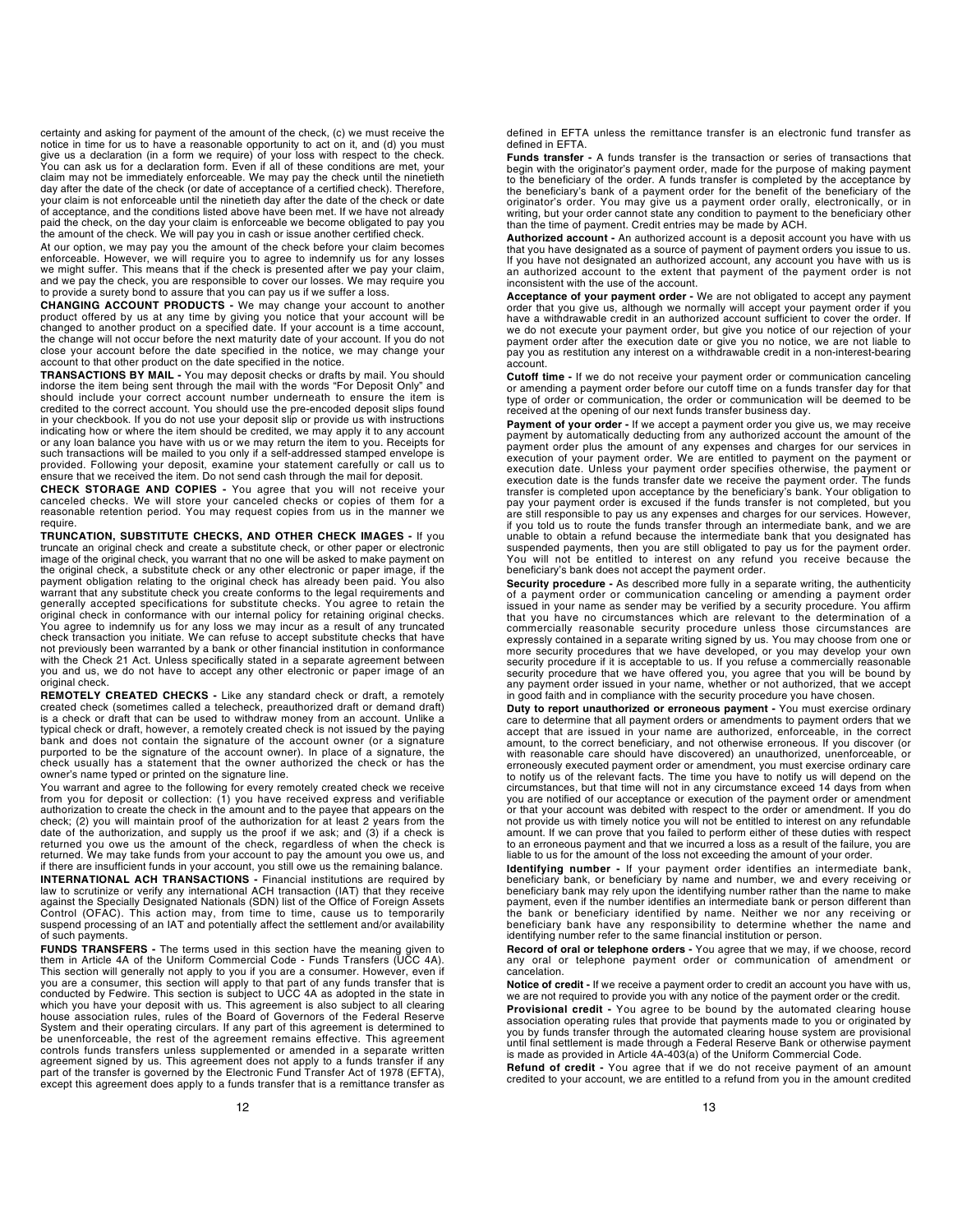certainty and asking for payment of the amount of the check, (c) we must receive the notice in time for us to have a reasonable opportunity to act on it, and (d) you must give us a declaration (in a form we require) of your loss with respect to the check. You can ask us for a declaration form. Even if all of these conditions are met, your<br>claim may not be immediately enforceable. We may pay the check until the ninetieth<br>day after the date of the check (or date of acceptance your claim is not enforceable until the ninetieth day after the date of the check or date of acceptance, and the conditions listed above have been met. If we have not already paid the check, on the day your claim is enforceable we become obligated to pay you the amount of the check. We will pay you in cash or issue another certified check.

At our option, we may pay you the amount of the check before your claim becomes enforceable. However, we will require you to agree to indemnify us for any losses we might suffer. This means that if the check is presented after we pay your claim, and we pay the check, you are responsible to cover our losses. We may require you to provide a surety bond to assure that you can pay us if we suffer a loss.

**CHANGING ACCOUNT PRODUCTS** - We may change your account to another product offered by us at any time by giving you notice that your account will be changed to another product on a specified date. If your account is a time the change will not occur before the next maturity date of your account. If you do not close your account before the date specified in the notice, we may change your account to that other product on the date specified in the notice.

TRANSACTIONS BY MAIL - You may deposit checks or drafts by mail. You should indorse the item being sent through the mail with the words "For Deposit Only" and should include your correct account number underneath to ensure the item is credited to the correct account. You should use the pre-encoded deposit slips found<br>in your checkbook. If you do not use your deposit slip or provide us with instructions<br>indicating how or where the item should be credited or any loan balance you have with us or we may return the item to you. Receipts for such transactions will be mailed to you only if a self-addressed stamped envelope is provided. Following your deposit, examine your statement carefully or call us to ensure that we received the item. Do not send cash through the mail for deposit.

CHECK STORAGE AND COPIES - You agree that you will not receive your canceled checks. We will store your canceled checks or copies of them for a reasonable retention period. You may request copies from us in the manner we require.

TRUNCATION, SUBSTITUTE CHECKS, AND OTHER CHECK IMAGES - If you truncate an original check and create a substitute check, or other paper or electronic image of the original check, you warrant that no one will be asked to make payment on the original check, a substitute check or any other electronic or paper image, if the payment obligation relating to the original check has already been paid. You also<br>warrant that any substitute check you create conforms to the legal requirements and<br>generally accepted specifications for substitute checks. original check in conformance with our internal policy for retaining original checks. You agree to indemnify us for any loss we may incur as a result of any truncated check transaction you initiate. We can refuse to accept substitute checks that have not previously been warranted by a bank or other financial institution in conformance with the Check 21 Act. Unless specifically stated in a separate agreement between you and us, we do not have to accept any other electronic or paper image of an original check.

REMOTELY CREATED CHECKS - Like any standard check or draft, a remotely created check (sometimes called a telecheck, preauthorized draft) is a check or draft that can be used to withdraw money from an account. Unlike a<br>typical check or draft, however, a remotely created check is not issued by the paying<br>bank and does not contain the signature of the account purported to be the signature of the account owner). In place of a signature, the check usually has a statement that the owner authorized the check or has the owner's name typed or printed on the signature line.

You warrant and agree to the following for every remotely created check we receive from you for deposit or collection: (1) you have received express and verifiable authorization to create the check in the amount and to the payee that appears on the check; (2) you will maintain proof of the authorization for at least 2 years from the date of the authorization, and supply us the proof if we ask; and (3) if a check is returned you owe us the amount of the check, regardless of when the check is<br>returned. We may take funds from your account to pay the amount you owe us, and<br>if there are insufficient funds in your account, you still owe us

INTERNATIONAL ACH TRANSACTIONS - Financial institutions are required by law to scrutinize or verify any international ACH transaction (IAT) that they receive against the Specially Designated Nationals (SDN) list of the Office of Foreign Assets Control (OFAC). This action may, from time to time, cause us to temporarily suspend processing of an IAT and potentially affect the settlement and/or availability of such payments.

FUNDS TRANSFERS - The terms used in this section have the meaning given to them in Article 4A of the Uniform Commercial Code - Funds Transfers (UCC 4A). This section will generally not apply to you if you are a consumer. However, even if<br>you are a consumer, this section will apply to that part of any funds transfer that is<br>conducted by Fedwire. This section is subject to U which you have your deposit with us. This agreement is also subject to all clearing house association rules, rules of the Board of Governors of the Federal Reserve<br>System and their operating circulars. If any part of this agreement is determined to<br>be unenforceable, the rest of the agreement remains effec controls funds transfers unless supplemented or amended in a separate written agreement signed by us. This agreement does not apply to a funds transfer if any<br>part of the transfer is governed by the Electronic Fund Transfer Act of 1978 (EFTA),<br>except this agreement does apply to a funds transfer tha defined in EFTA unless the remittance transfer is an electronic fund transfer as defined in EFTA.

Funds transfer - A funds transfer is the transaction or series of transactions that begin with the originator's payment order, made for the purpose of making payment to the beneficiary of the order. A funds transfer is completed by the acceptance by the beneficiary's bank of a payment order for the benefit of the beneficiary of the originator's order. You may give us a payment order orally, electronically, or in writing, but your order cannot state any condition to payment to the beneficiary other than the time of payment. Credit entries may be made by ACH.

Authorized account - An authorized account is a deposit account you have with us that you have designated as a source of payment of payment orders you issue to us. If you have not designated an authorized account, any account you have with us is an authorized account to the extent that payment of the payment order is not inconsistent with the use of the account.

Acceptance of your payment order - We are not obligated to accept any payment order that you give us, although we normally will accept your payment order if you have a withdrawable credit in an authorized account sufficient to cover the order. If we do not execute your payment order, but give you notice of our rejection of your payment order after the execution date or give you no notice, we are not liable to pay you as restitution any interest on a withdrawable credit in a non-interest-bearing account.

Cutoff time - If we do not receive your payment order or communication canceling or amending a payment order before our cutoff time on a funds transfer day for that type of order or communication, the order or communication will be deemed to be received at the opening of our next funds transfer business day.

**Payment of your order -** If we accept a payment order you give us, we may receive<br>payment by automatically deducting from any authorized account the amount of the payment order plus the amount of any expenses and charges for our services in execution of your payment order. We are entitled to payment on the payment or execution date. Unless your payment order specifies otherwise, the payment or execution date is the funds transfer date we receive the payment order. The funds transfer is completed upon acceptance by the beneficiary's bank. Your obligation to pay your payment order is excused if the funds transfer is not completed, but you are still responsible to pay us any expenses and charges for our services. However, if you told us to route the funds transfer through an intermediate bank, and we are unable to obtain a refund because the intermediate bank that you designated has suspended payments, then you are still obligated to pay us for the payment order. You will not be entitled to interest on any refund you receive because the beneficiary's bank does not accept the payment order.

Security procedure - As described more fully in a separate writing, the authenticity of a payment order or communication canceling or amending a payment order issued in your name as sender may be verified by a security procedure. You affirm that you have no circumstances which are relevant to the determination of a commercially reasonable security procedure unless those circumstances are expressly contained in a separate writing signed by us. You may choose from one or more security procedures that we have developed, or you may develop your own<br>security procedure if it is acceptable to us. If you refuse a commercially reasonable<br>security procedure that we have offered you, you agree that any payment order issued in your name, whether or not authorized, that we accept in good faith and in compliance with the security procedure you have chosen.

Duty to report unauthorized or erroneous payment - You must exercise ordinary care to determine that all payment orders or amendments to payment orders that we accept that are issued in your name are authorized, enforceable, in the correct amount, to the correct beneficiary, and not otherwise erroneous. If you discover (or with reasonable care should have discovered) an unauthorized, unenforceable, or erroneously executed payment order or amendment, you must exercise ordinary care to notify us of the relevant facts. The time you have to notify us will depend on the circumstances, but that time will not in any circumstance exceed 14 days from when you are notified of our acceptance or execution of the payment order or amendment or that your account was debited with respect to the order or amendment. If you do not provide us with timely notice you will not be entitled to interest on any refundable amount. If we can prove that you failed to perform either of these duties with respect to an erroneous payment and that we incurred a loss as a result of the failure, you are liable to us for the amount of the loss not exceeding the amount of your order.

**Identifying number -** If your payment order identifies an intermediate bank,<br>beneficiary bank, or beneficiary by name and number, we and every receiving or<br>beneficiary bank may rely upon the identifying number rather than payment, even if the number identifies an intermediate bank or person different than the bank or beneficiary identified by name. Neither we nor any receiving or beneficiary bank have any responsibility to determine whether the name and identifying number refer to the same financial institution or person.

Record of oral or telephone orders - You agree that we may, if we choose, record any oral or telephone payment order or communication of amendment or cancelation.

Notice of credit - If we receive a payment order to credit an account you have with us, we are not required to provide you with any notice of the payment order or the credit.

Provisional credit - You agree to be bound by the automated clearing house association operating rules that provide that payments made to you or originated by you by funds transfer through the automated clearing house system are provisional until final settlement is made through a Federal Reserve Bank or otherwise payment is made as provided in Article 4A-403(a) of the Uniform Commercial Code.

Refund of credit - You agree that if we do not receive payment of an amount credited to your account, we are entitled to a refund from you in the amount credited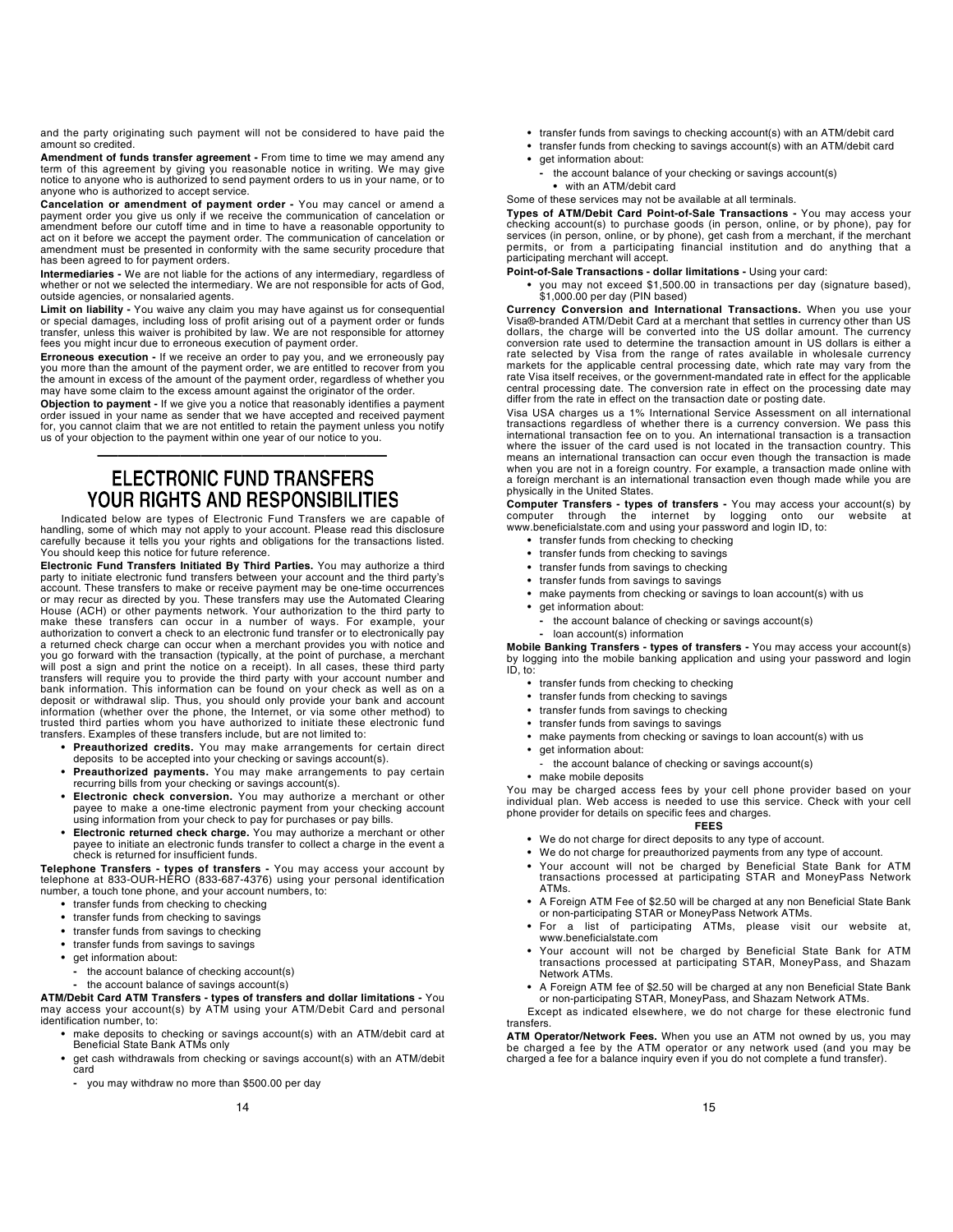and the party originating such payment will not be considered to have paid the amount so credited.

Amendment of funds transfer agreement - From time to time we may amend any term of this agreement by giving you reasonable notice in writing. We may give notice to anyone who is authorized to send payment orders to us in your name, or to anyone who is authorized to accept service.

Cancelation or amendment of payment order - You may cancel or amend a payment order you give us only if we receive the communication of cancelation or amendment before our cutoff time and in time to have a reasonable opportunity to act on it before we accept the payment order. The communication of cancelation or amendment must be presented in conformity with the same security procedure that has been agreed to for payment orders.

Intermediaries - We are not liable for the actions of any intermediary, regardless of whether or not we selected the intermediary. We are not responsible for acts of God, outside agencies, or nonsalaried agents.

**Limit on liability -** You waive any claim you may have against us for consequential<br>or special damages, including loss of profit arising out of a payment order or funds transfer, unless this waiver is prohibited by law. We are not responsible for attorney fees you might incur due to erroneous execution of payment order.

Erroneous execution - If we receive an order to pay you, and we erroneously pay you more than the amount of the payment order, we are entitled to recover from you<br>the amount in excess of the amount of the payment order, regardless of whether you<br>may have some claim to the excess amount against the ori

Objection to payment - If we give you a notice that reasonably identifies a payment order issued in your name as sender that we have accepted and received payment for, you cannot claim that we are not entitled to retain the payment unless you notify us of your objection to the payment within one year of our notice to you.

### —————————————— **ELECTRONIC FUND TRANSFERS YOUR RIGHTS AND RESPONSIBILITIES**

Indicated below are types of Electronic Fund Transfers we are capable of handling, some of which may not apply to your account. Please read this disclosure carefully because it tells you your rights and obligations for the transactions listed. You should keep this notice for future reference.

Electronic Fund Transfers Initiated By Third Parties. You may authorize a third party to initiate electronic fund transfers between your account and the third party's account. These transfers to make or receive payment may be one-time occurrences or may recur as directed by you. These transfers may use the Automated Clearing House (ACH) or other payments network. Your authorization to the third party to make these transfers can occur in a number of ways. For example, your authorization to convert a check to an electronic fund transfer or to electronically pay a returned check charge can occur when a merchant provides you with notice and you go forward with the transaction (typically, at the point of purchase, a merchant will post a sign and print the notice on a receipt). In all cases, these third party transfers will require you to provide the third party with your account number and bank information. This information can be found on your check as well as on a deposit or withdrawal slip. Thus, you should only provide your bank and account information (whether over the phone, the Internet, or via some other method) to trusted third parties whom you have authorized to initiate these electronic fund transfers. Examples of these transfers include, but are not limited to:

- Preauthorized credits. You may make arrangements for certain direct deposits to be accepted into your checking or savings account(s).
- Preauthorized payments. You may make arrangements to pay certain recurring bills from your checking or savings account(s).
- Electronic check conversion. You may authorize a merchant or other payee to make a one-time electronic payment from your checking account using information from your check to pay for purchases or pay bills.
- Electronic returned check charge. You may authorize a merchant or other payee to initiate an electronic funds transfer to collect a charge in the event a check is returned for insufficient funds.

Telephone Transfers - types of transfers - You may access your account by telephone at 833-OUR-HERO (833-687-4376) using your personal identification number, a touch tone phone, and your account numbers, to:

- transfer funds from checking to checking
- transfer funds from checking to savings
- transfer funds from savings to checking
- transfer funds from savings to savings
- get information about:
	- the account balance of checking account(s)
	- the account balance of savings account(s)

**ATM/Debit Card ATM Transfers - types of transfers and dollar limitations -** You<br>may access your account(s) by ATM using your ATM/Debit Card and personal identification number, to:

- make deposits to checking or savings account(s) with an ATM/debit card at Beneficial State Bank ATMs only
- get cash withdrawals from checking or savings account(s) with an ATM/debit card
	- you may withdraw no more than \$500.00 per day
- transfer funds from savings to checking account(s) with an ATM/debit card
- transfer funds from checking to savings account(s) with an ATM/debit card
- get information about:
- the account balance of your checking or savings account(s) • with an ATM/debit card
- Some of these services may not be available at all terminals.

Types of ATM/Debit Card Point-of-Sale Transactions - You may access your checking account(s) to purchase goods (in person, online, or by phone), pay for services (in person, online, or by phone), get cash from a merchant, if the merchant permits, or from a participating financial institution and do anything that a participating merchant will accept.

Point-of-Sale Transactions - dollar limitations - Using your card:

• you may not exceed \$1,500.00 in transactions per day (signature based),  $$1,000.00$  per day (PIN based)

Currency Conversion and International Transactions. When you use your Visa®-branded ATM/Debit Card at a merchant that settles in currency other than US dollars, the charge will be converted into the US dollar amount. The currency conversion rate used to determine the transaction amount in US dollars is either a rate selected by Visa from the range of rates available in wholesale currency markets for the applicable central processing date, which rate may vary from the rate Visa itself receives, or the government-mandated rate in effect for the applicable central processing date. The conversion rate in effect on the processing date may differ from the rate in effect on the transaction date or posting date.

Visa USA charges us a 1% International Service Assessment on all international transactions regardless of whether there is a currency conversion. We pass this international transaction fee on to you. An international transaction is a transaction where the issuer of the card used is not located in the transaction country. This means an international transaction can occur even though the transaction is made when you are not in a foreign country. For example, a transaction made online with a foreign merchant is an international transaction even though made while you are physically in the United States.

Computer Transfers - types of transfers - You may access your account(s) by computer through the internet by logging onto our website at www.beneficialstate.com and using your password and login ID, to:

- transfer funds from checking to checking
- transfer funds from checking to savings
- transfer funds from savings to checking
- transfer funds from savings to savings
- make payments from checking or savings to loan account(s) with us
- get information about:
	- the account balance of checking or savings account(s)
	- loan account(s) information

Mobile Banking Transfers - types of transfers - You may access your account(s) by logging into the mobile banking application and using your password and login ID, to:

- transfer funds from checking to checking
- transfer funds from checking to savings
- transfer funds from savings to checking
- transfer funds from savings to savings
- make payments from checking or savings to loan account(s) with us
- get information about:
- the account balance of checking or savings account(s)
- make mobile deposits

You may be charged access fees by your cell phone provider based on your individual plan. Web access is needed to use this service. Check with your cell phone provider for details on specific fees and charges.

#### FEES

- We do not charge for direct deposits to any type of account.
- We do not charge for preauthorized payments from any type of account.
- Your account will not be charged by Beneficial State Bank for ATM transactions processed at participating STAR and MoneyPass Network ATMs.
- A Foreign ATM Fee of \$2.50 will be charged at any non Beneficial State Bank or non-participating STAR or MoneyPass Network ATMs.
- For a list of participating ATMs, please visit our website at, www.beneficialstate.com
- Your account will not be charged by Beneficial State Bank for ATM transactions processed at participating STAR, MoneyPass, and Shazam Network ATMs.
- A Foreign ATM fee of \$2.50 will be charged at any non Beneficial State Bank or non-participating STAR, MoneyPass, and Shazam Network ATMs.

Except as indicated elsewhere, we do not charge for these electronic fund transfers.

ATM Operator/Network Fees. When you use an ATM not owned by us, you may be charged a fee by the ATM operator or any network used (and you may be charged a fee for a balance inquiry even if you do not complete a fund transfer).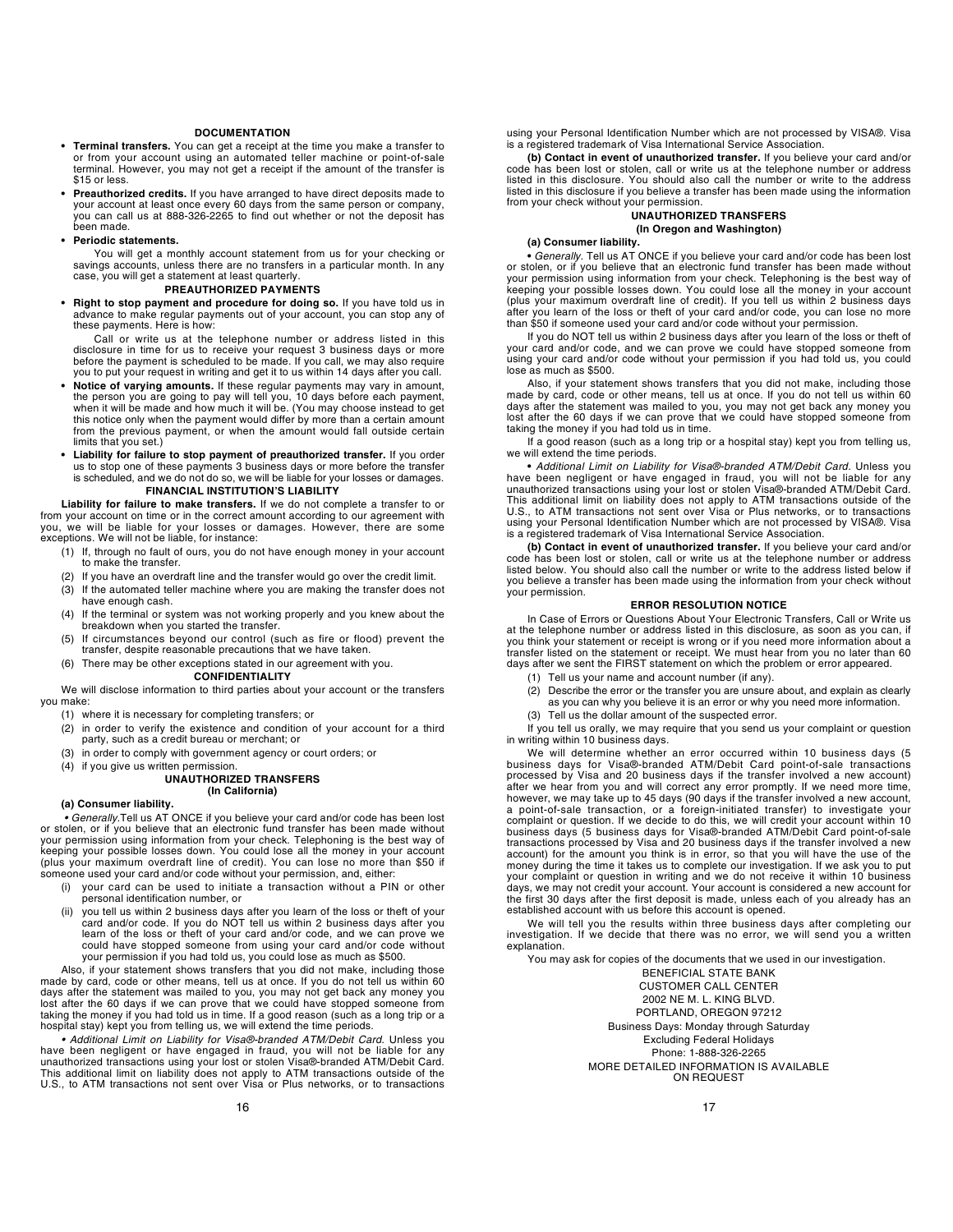#### **DOCUMENTATION**

- Terminal transfers. You can get a receipt at the time you make a transfer to or from your account using an automated teller machine or point-of-sale terminal. However, you may not get a receipt if the amount of the transfer is \$15 or less.
- Preauthorized credits. If you have arranged to have direct deposits made to your account at least once every 60 days from the same person or company, you can call us at 888-326-2265 to find out whether or not the deposit has been made.
- Periodic statements.

You will get a monthly account statement from us for your checking or savings accounts, unless there are no transfers in a particular month. In any case, you will get a statement at least quarterly.

#### PREAUTHORIZED PAYMENTS

• Right to stop payment and procedure for doing so. If you have told us in advance to make regular payments out of your account, you can stop any of these payments. Here is how:

Call or write us at the telephone number or address listed in this disclosure in time for us to receive your request 3 business days or more before the payment is scheduled to be made. If you call, we may also require you to put your request in writing and get it to us within 14 days after you call.

- Notice of varying amounts. If these regular payments may vary in amount, the person you are going to pay will tell you, 10 days before each payment, when it will be made and how much it will be. (You may choose instead to get this notice only when the payment would differ by more than a certain amount from the previous payment, or when the amount would fall outside certain limits that you set.)
- Liability for failure to stop payment of preauthorized transfer. If you order us to stop one of these payments 3 business days or more before the transfer is scheduled, and we do not do so, we will be liable for your losses or damages. FINANCIAL INSTITUTION'S LIABILITY

Liability for failure to make transfers. If we do not complete a transfer to or from your account on time or in the correct amount according to our agreement with you, we will be liable for your losses or damages. However, there are some exceptions. We will not be liable, for instance:

- (1) If, through no fault of ours, you do not have enough money in your account to make the transfer.
- (2) If you have an overdraft line and the transfer would go over the credit limit.
- (3) If the automated teller machine where you are making the transfer does not have enough cash.
- (4) If the terminal or system was not working properly and you knew about the breakdown when you started the transfer.
- (5) If circumstances beyond our control (such as fire or flood) prevent the transfer, despite reasonable precautions that we have taken.
- (6) There may be other exceptions stated in our agreement with you.

#### CONFIDENTIALITY

We will disclose information to third parties about your account or the transfers you make:

- (1) where it is necessary for completing transfers; or
- (2) in order to verify the existence and condition of your account for a third party, such as a credit bureau or merchant; or
- (3) in order to comply with government agency or court orders; or
- (4) if you give us written permission.

#### UNAUTHORIZED TRANSFERS (In California)

#### (a) Consumer liability.

• Generally.Tell us AT ONCE if you believe your card and/or code has been lost or stolen, or if you believe that an electronic fund transfer has been made without your permission using information from your check. Telephoning is the best way of<br>keeping your possible losses down. You could lose all the money in your account<br>(plus your maximum overdraft line of credit). You can lose n someone used your card and/or code without your permission, and, either:

- (i) your card can be used to initiate a transaction without a PIN or other personal identification number, or
- (ii) you tell us within 2 business days after you learn of the loss or theft of your card and/or code. If you do NOT tell us within 2 business days after you learn of the loss or theft of your card and/or code, and we can prove we could have stopped someone from using your card and/or code without your permission if you had told us, you could lose as much as \$500.

Also, if your statement shows transfers that you did not make, including those made by card, code or other means, tell us at once. If you do not tell us within 60 days after the statement was mailed to you, you may not get back any money you lost after the 60 days if we can prove that we could have stopped someone from taking the money if you had told us in time. If a good reason (such as a long trip or a hospital stay) kept you from telling us, we will extend the time periods.

• Additional Limit on Liability for Visa®-branded ATM/Debit Card. Unless you have been negligent or have engaged in fraud, you will not be liable for any<br>unauthorized transactions using your lost or stolen Visa@-branded ATM/Debit Card.<br>This additional limit on liability does not apply to ATM transa using your Personal Identification Number which are not processed by VISA®. Visa is a registered trademark of Visa International Service Association.

(b) Contact in event of unauthorized transfer. If you believe your card and/or code has been lost or stolen, call or write us at the telephone number or address listed in this disclosure. You should also call the number or write to the address listed in this disclosure if you believe a transfer has been made using the information from your check without your permission.

#### UNAUTHORIZED TRANSFERS (In Oregon and Washington)

#### (a) Consumer liability.

• Generally. Tell us AT ONCE if you believe your card and/or code has been lost or stolen, or if you believe that an electronic fund transfer has been made without your permission using information from your check. Telephoning is the best way of<br>keeping your possible losses down. You could lose all the money in your account<br>(plus your maximum overdraft line of credit). If you tell us after you learn of the loss or theft of your card and/or code, you can lose no more than \$50 if someone used your card and/or code without your permission.

If you do NOT tell us within 2 business days after you learn of the loss or theft of your card and/or code, and we can prove we could have stopped someone from using your card and/or code without your permission if you had told us, you could lose as much as \$500.

Also, if your statement shows transfers that you did not make, including those<br>made by card, code or other means, tell us at once. If you do not tell us within 60<br>days after the statement was mailed to you, you may not get lost after the 60 days if we can prove that we could have stopped someone from taking the money if you had told us in time.

If a good reason (such as a long trip or a hospital stay) kept you from telling us, we will extend the time periods.

• Additional Limit on Liability for Visa®-branded ATM/Debit Card. Unless you have been negligent or have engaged in fraud, you will not be liable for any unauthorized transactions using your lost or stolen Visa®-branded ATM/Debit Card. This additional limit on liability does not apply to ATM transactions outside of the U.S., to ATM transactions not sent over Visa or Plus networks, or to transactions using your Personal Identification Number which are not processed by VISA®. Visa is a registered trademark of Visa International Service Association.

(b) Contact in event of unauthorized transfer. If you believe your card and/or code has been lost or stolen, call or write us at the telephone number or address listed below. You should also call the number or write to the address listed below if you believe a transfer has been made using the information from your check without your permission.

#### ERROR RESOLUTION NOTICE

In Case of Errors or Questions About Your Electronic Transfers, Call or Write us at the telephone number or address listed in this disclosure, as soon as you can, if you think your statement or receipt is wrong or if you need more information about a transfer listed on the statement or receipt. We must hear from you no later than 60 days after we sent the FIRST statement on which the problem or error appeared.

- (1) Tell us your name and account number (if any).<br>(2) Describe the error or the transfer you are unsure
- Describe the error or the transfer you are unsure about, and explain as clearly
- as you can why you believe it is an error or why you need more information.
- (3) Tell us the dollar amount of the suspected error.

If you tell us orally, we may require that you send us your complaint or question in writing within 10 business days.

We will determine whether an error occurred within 10 business days (5 business days for Visa®-branded ATM/Debit Card point-of-sale transactions processed by Visa and 20 business days if the transfer involved a new account) after we hear from you and will correct any error promptly. If we need more time,<br>however, we may take up to 45 days (90 days if the transfer involved a new account,<br>a point-of-sale transaction, or a foreign-initiated complaint or question. If we decide to do this, we will credit your account within 10 business days (5 business days for Visa®-branded ATM/Debit Card point-of-sale transactions processed by Visa and 20 business days if the transfer involved a new account) for the amount you think is in error, so that you will have the use of the money during the time it takes us to complete our investigation. If we ask you to put your complaint or question in writing and we do not receive it within 10 business days, we may not credit your account. Your account is considered a new account for the first 30 days after the first deposit is made, unless each of you already has an established account with us before this account is opened.

We will tell you the results within three business days after completing our investigation. If we decide that there was no error, we will send you a written explanation.

You may ask for copies of the documents that we used in our investigation.

BENEFICIAL STATE BANK CUSTOMER CALL CENTER 2002 NE M. L. KING BLVD. PORTLAND, OREGON 97212 Business Days: Monday through Saturday Excluding Federal Holidays Phone: 1-888-326-2265 MORE DETAILED INFORMATION IS AVAILABLE ON REQUEST